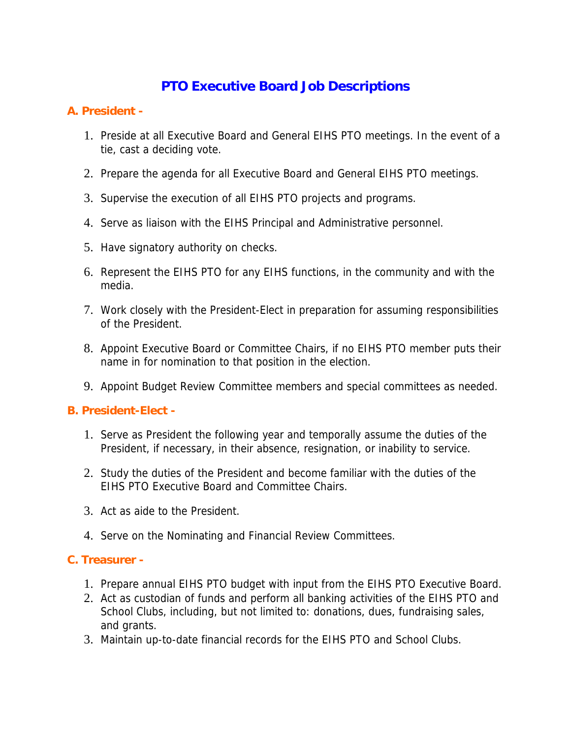# **PTO Executive Board Job Descriptions**

#### **A. President -**

- 1. Preside at all Executive Board and General EIHS PTO meetings. In the event of a tie, cast a deciding vote.
- 2. Prepare the agenda for all Executive Board and General EIHS PTO meetings.
- 3. Supervise the execution of all EIHS PTO projects and programs.
- 4. Serve as liaison with the EIHS Principal and Administrative personnel.
- 5. Have signatory authority on checks.
- 6. Represent the EIHS PTO for any EIHS functions, in the community and with the media.
- 7. Work closely with the President-Elect in preparation for assuming responsibilities of the President.
- 8. Appoint Executive Board or Committee Chairs, if no EIHS PTO member puts their name in for nomination to that position in the election.
- 9. Appoint Budget Review Committee members and special committees as needed.

#### **B. President-Elect -**

- 1. Serve as President the following year and temporally assume the duties of the President, if necessary, in their absence, resignation, or inability to service.
- 2. Study the duties of the President and become familiar with the duties of the EIHS PTO Executive Board and Committee Chairs.
- 3. Act as aide to the President.
- 4. Serve on the Nominating and Financial Review Committees.

#### **C. Treasurer -**

- 1. Prepare annual EIHS PTO budget with input from the EIHS PTO Executive Board.
- 2. Act as custodian of funds and perform all banking activities of the EIHS PTO and School Clubs, including, but not limited to: donations, dues, fundraising sales, and grants.
- 3. Maintain up-to-date financial records for the EIHS PTO and School Clubs.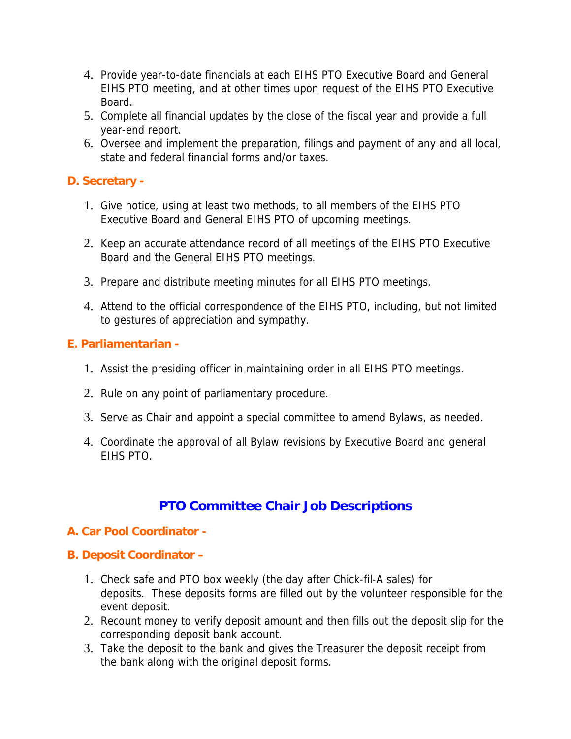- 4. Provide year-to-date financials at each EIHS PTO Executive Board and General EIHS PTO meeting, and at other times upon request of the EIHS PTO Executive Board.
- 5. Complete all financial updates by the close of the fiscal year and provide a full year-end report.
- 6. Oversee and implement the preparation, filings and payment of any and all local, state and federal financial forms and/or taxes.

## **D. Secretary -**

- 1. Give notice, using at least two methods, to all members of the EIHS PTO Executive Board and General EIHS PTO of upcoming meetings.
- 2. Keep an accurate attendance record of all meetings of the EIHS PTO Executive Board and the General EIHS PTO meetings.
- 3. Prepare and distribute meeting minutes for all EIHS PTO meetings.
- 4. Attend to the official correspondence of the EIHS PTO, including, but not limited to gestures of appreciation and sympathy.

# **E. Parliamentarian -**

- 1. Assist the presiding officer in maintaining order in all EIHS PTO meetings.
- 2. Rule on any point of parliamentary procedure.
- 3. Serve as Chair and appoint a special committee to amend Bylaws, as needed.
- 4. Coordinate the approval of all Bylaw revisions by Executive Board and general EIHS PTO.

# **PTO Committee Chair Job Descriptions**

#### **A. Car Pool Coordinator -**

#### **B. Deposit Coordinator –**

- 1. Check safe and PTO box weekly (the day after Chick-fil-A sales) for deposits. These deposits forms are filled out by the volunteer responsible for the event deposit.
- 2. Recount money to verify deposit amount and then fills out the deposit slip for the corresponding deposit bank account.
- 3. Take the deposit to the bank and gives the Treasurer the deposit receipt from the bank along with the original deposit forms.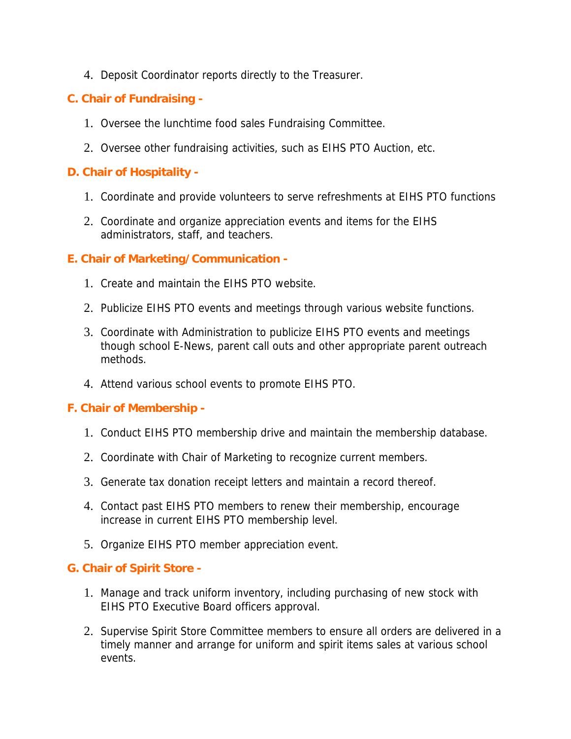4. Deposit Coordinator reports directly to the Treasurer.

## **C. Chair of Fundraising -**

- 1. Oversee the lunchtime food sales Fundraising Committee.
- 2. Oversee other fundraising activities, such as EIHS PTO Auction, etc.

#### **D. Chair of Hospitality -**

- 1. Coordinate and provide volunteers to serve refreshments at EIHS PTO functions
- 2. Coordinate and organize appreciation events and items for the EIHS administrators, staff, and teachers.

#### **E. Chair of Marketing/Communication -**

- 1. Create and maintain the EIHS PTO website.
- 2. Publicize EIHS PTO events and meetings through various website functions.
- 3. Coordinate with Administration to publicize EIHS PTO events and meetings though school E-News, parent call outs and other appropriate parent outreach methods.
- 4. Attend various school events to promote EIHS PTO.

#### **F. Chair of Membership -**

- 1. Conduct EIHS PTO membership drive and maintain the membership database.
- 2. Coordinate with Chair of Marketing to recognize current members.
- 3. Generate tax donation receipt letters and maintain a record thereof.
- 4. Contact past EIHS PTO members to renew their membership, encourage increase in current EIHS PTO membership level.
- 5. Organize EIHS PTO member appreciation event.

#### **G. Chair of Spirit Store -**

- 1. Manage and track uniform inventory, including purchasing of new stock with EIHS PTO Executive Board officers approval.
- 2. Supervise Spirit Store Committee members to ensure all orders are delivered in a timely manner and arrange for uniform and spirit items sales at various school events.